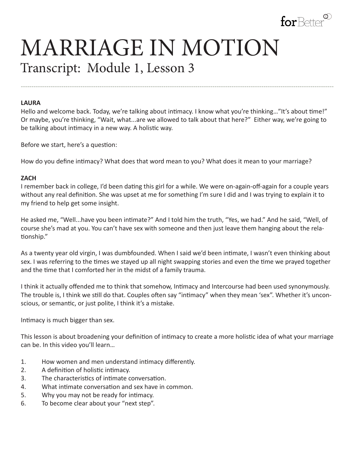

# MARRIAGE IN MOTION Transcript: Module 1, Lesson 3

#### **LAURA**

Hello and welcome back. Today, we're talking about intimacy. I know what you're thinking..."It's about time!" Or maybe, you're thinking, "Wait, what...are we allowed to talk about that here?" Either way, we're going to be talking about intimacy in a new way. A holistic way.

---------------------------------------------------------------------------------------------------------------------------------------------------

Before we start, here's a question:

How do you define intimacy? What does that word mean to you? What does it mean to your marriage?

#### **ZACH**

I remember back in college, I'd been dating this girl for a while. We were on-again-off-again for a couple years without any real definition. She was upset at me for something I'm sure I did and I was trying to explain it to my friend to help get some insight.

He asked me, "Well...have you been intimate?" And I told him the truth, "Yes, we had." And he said, "Well, of course she's mad at you. You can't have sex with someone and then just leave them hanging about the relationship."

As a twenty year old virgin, I was dumbfounded. When I said we'd been intimate, I wasn't even thinking about sex. I was referring to the times we stayed up all night swapping stories and even the time we prayed together and the time that I comforted her in the midst of a family trauma.

I think it actually offended me to think that somehow, Intimacy and Intercourse had been used synonymously. The trouble is, I think we still do that. Couples often say "intimacy" when they mean 'sex". Whether it's unconscious, or semantic, or just polite, I think it's a mistake.

Intimacy is much bigger than sex.

This lesson is about broadening your definition of intimacy to create a more holistic idea of what your marriage can be. In this video you'll learn…

- 1. How women and men understand intimacy differently.
- 2. A definition of holistic intimacy.
- 3. The characteristics of intimate conversation.
- 4. What intimate conversation and sex have in common.
- 5. Why you may not be ready for intimacy.
- 6. To become clear about your "next step".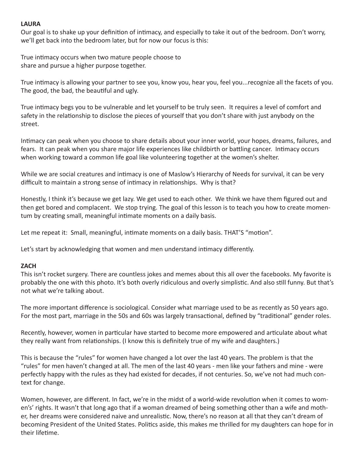### **LAURA**

Our goal is to shake up your definition of intimacy, and especially to take it out of the bedroom. Don't worry, we'll get back into the bedroom later, but for now our focus is this:

True intimacy occurs when two mature people choose to share and pursue a higher purpose together.

True intimacy is allowing your partner to see you, know you, hear you, feel you...recognize all the facets of you. The good, the bad, the beautiful and ugly.

True intimacy begs you to be vulnerable and let yourself to be truly seen. It requires a level of comfort and safety in the relationship to disclose the pieces of yourself that you don't share with just anybody on the street.

Intimacy can peak when you choose to share details about your inner world, your hopes, dreams, failures, and fears. It can peak when you share major life experiences like childbirth or battling cancer. Intimacy occurs when working toward a common life goal like volunteering together at the women's shelter.

While we are social creatures and intimacy is one of Maslow's Hierarchy of Needs for survival, it can be very difficult to maintain a strong sense of intimacy in relationships. Why is that?

Honestly, I think it's because we get lazy. We get used to each other. We think we have them figured out and then get bored and complacent. We stop trying. The goal of this lesson is to teach you how to create momentum by creating small, meaningful intimate moments on a daily basis.

Let me repeat it: Small, meaningful, intimate moments on a daily basis. THAT'S "motion".

Let's start by acknowledging that women and men understand intimacy differently.

#### **ZACH**

This isn't rocket surgery. There are countless jokes and memes about this all over the facebooks. My favorite is probably the one with this photo. It's both overly ridiculous and overly simplistic. And also still funny. But that's not what we're talking about.

The more important difference is sociological. Consider what marriage used to be as recently as 50 years ago. For the most part, marriage in the 50s and 60s was largely transactional, defined by "traditional" gender roles.

Recently, however, women in particular have started to become more empowered and articulate about what they really want from relationships. (I know this is definitely true of my wife and daughters.)

This is because the "rules" for women have changed a lot over the last 40 years. The problem is that the "rules" for men haven't changed at all. The men of the last 40 years - men like your fathers and mine - were perfectly happy with the rules as they had existed for decades, if not centuries. So, we've not had much context for change.

Women, however, are different. In fact, we're in the midst of a world-wide revolution when it comes to women's' rights. It wasn't that long ago that if a woman dreamed of being something other than a wife and mother, her dreams were considered naive and unrealistic. Now, there's no reason at all that they can't dream of becoming President of the United States. Politics aside, this makes me thrilled for my daughters can hope for in their lifetime.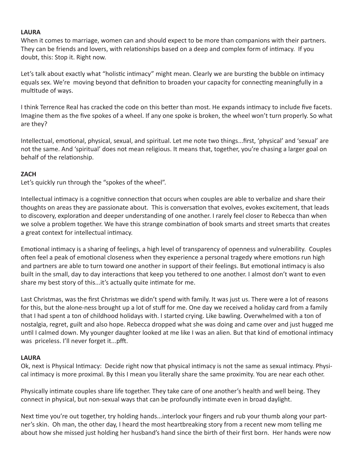#### **LAURA**

When it comes to marriage, women can and should expect to be more than companions with their partners. They can be friends and lovers, with relationships based on a deep and complex form of intimacy. If you doubt, this: Stop it. Right now.

Let's talk about exactly what "holistic intimacy" might mean. Clearly we are bursting the bubble on intimacy equals sex. We're moving beyond that definition to broaden your capacity for connecting meaningfully in a multitude of ways.

I think Terrence Real has cracked the code on this better than most. He expands intimacy to include five facets. Imagine them as the five spokes of a wheel. If any one spoke is broken, the wheel won't turn properly. So what are they?

Intellectual, emotional, physical, sexual, and spiritual. Let me note two things...first, 'physical' and 'sexual' are not the same. And 'spiritual' does not mean religious. It means that, together, you're chasing a larger goal on behalf of the relationship.

#### **ZACH**

Let's quickly run through the "spokes of the wheel".

Intellectual intimacy is a cognitive connection that occurs when couples are able to verbalize and share their thoughts on areas they are passionate about. This is conversation that evolves, evokes excitement, that leads to discovery, exploration and deeper understanding of one another. I rarely feel closer to Rebecca than when we solve a problem together. We have this strange combination of book smarts and street smarts that creates a great context for intellectual intimacy.

Emotional intimacy is a sharing of feelings, a high level of transparency of openness and vulnerability. Couples often feel a peak of emotional closeness when they experience a personal tragedy where emotions run high and partners are able to turn toward one another in support of their feelings. But emotional intimacy is also built in the small, day to day interactions that keep you tethered to one another. I almost don't want to even share my best story of this...it's actually quite intimate for me.

Last Christmas, was the first Christmas we didn't spend with family. It was just us. There were a lot of reasons for this, but the alone-ness brought up a lot of stuff for me. One day we received a holiday card from a family that I had spent a ton of childhood holidays with. I started crying. Like bawling. Overwhelmed with a ton of nostalgia, regret, guilt and also hope. Rebecca dropped what she was doing and came over and just hugged me until I calmed down. My younger daughter looked at me like I was an alien. But that kind of emotional intimacy was priceless. I'll never forget it...pfft.

#### **LAURA**

Ok, next is Physical Intimacy: Decide right now that physical intimacy is not the same as sexual intimacy. Physical intimacy is more proximal. By this I mean you literally share the same proximity. You are near each other.

Physically intimate couples share life together. They take care of one another's health and well being. They connect in physical, but non-sexual ways that can be profoundly intimate even in broad daylight.

Next time you're out together, try holding hands...interlock your fingers and rub your thumb along your partner's skin. Oh man, the other day, I heard the most heartbreaking story from a recent new mom telling me about how she missed just holding her husband's hand since the birth of their first born. Her hands were now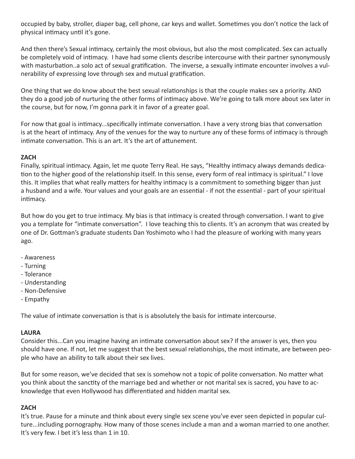occupied by baby, stroller, diaper bag, cell phone, car keys and wallet. Sometimes you don't notice the lack of physical intimacy until it's gone.

And then there's Sexual intimacy, certainly the most obvious, but also the most complicated. Sex can actually be completely void of intimacy. I have had some clients describe intercourse with their partner synonymously with masturbation..a solo act of sexual gratification. The inverse, a sexually intimate encounter involves a vulnerability of expressing love through sex and mutual gratification.

One thing that we do know about the best sexual relationships is that the couple makes sex a priority. AND they do a good job of nurturing the other forms of intimacy above. We're going to talk more about sex later in the course, but for now, I'm gonna park it in favor of a greater goal.

For now that goal is intimacy...specifically intimate conversation. I have a very strong bias that conversation is at the heart of intimacy. Any of the venues for the way to nurture any of these forms of intimacy is through intimate conversation. This is an art. It's the art of attunement.

## **ZACH**

Finally, spiritual intimacy. Again, let me quote Terry Real. He says, "Healthy intimacy always demands dedication to the higher good of the relationship itself. In this sense, every form of real intimacy is spiritual." I love this. It implies that what really matters for healthy intimacy is a commitment to something bigger than just a husband and a wife. Your values and your goals are an essential - if not the essential - part of your spiritual intimacy.

But how do you get to true intimacy. My bias is that intimacy is created through conversation. I want to give you a template for "intimate conversation". I love teaching this to clients. It's an acronym that was created by one of Dr. Gottman's graduate students Dan Yoshimoto who I had the pleasure of working with many years ago.

- Awareness
- Turning
- Tolerance
- Understanding
- Non-Defensive
- Empathy

The value of intimate conversation is that is is absolutely the basis for intimate intercourse.

## **LAURA**

Consider this...Can you imagine having an intimate conversation about sex? If the answer is yes, then you should have one. If not, let me suggest that the best sexual relationships, the most intimate, are between people who have an ability to talk about their sex lives.

But for some reason, we've decided that sex is somehow not a topic of polite conversation. No matter what you think about the sanctity of the marriage bed and whether or not marital sex is sacred, you have to acknowledge that even Hollywood has differentiated and hidden marital sex.

## **ZACH**

It's true. Pause for a minute and think about every single sex scene you've ever seen depicted in popular culture...including pornography. How many of those scenes include a man and a woman married to one another. It's very few. I bet it's less than 1 in 10.